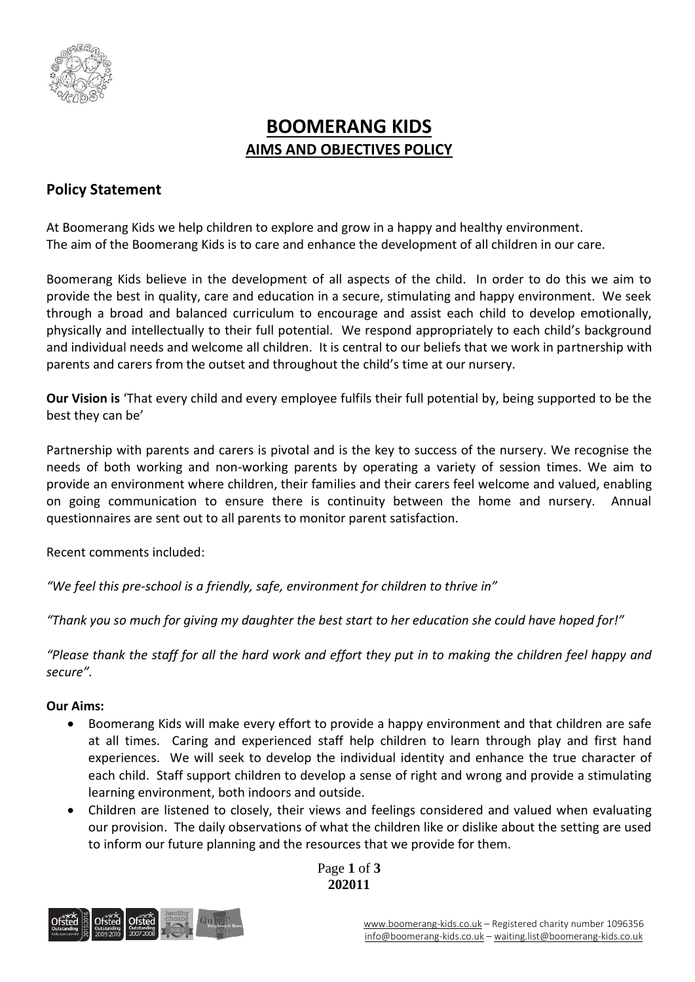

# **BOOMERANG KIDS AIMS AND OBJECTIVES POLICY**

# **Policy Statement**

At Boomerang Kids we help children to explore and grow in a happy and healthy environment. The aim of the Boomerang Kids is to care and enhance the development of all children in our care.

Boomerang Kids believe in the development of all aspects of the child. In order to do this we aim to provide the best in quality, care and education in a secure, stimulating and happy environment. We seek through a broad and balanced curriculum to encourage and assist each child to develop emotionally, physically and intellectually to their full potential. We respond appropriately to each child's background and individual needs and welcome all children. It is central to our beliefs that we work in partnership with parents and carers from the outset and throughout the child's time at our nursery.

**Our Vision is** 'That every child and every employee fulfils their full potential by, being supported to be the best they can be'

Partnership with parents and carers is pivotal and is the key to success of the nursery. We recognise the needs of both working and non-working parents by operating a variety of session times. We aim to provide an environment where children, their families and their carers feel welcome and valued, enabling on going communication to ensure there is continuity between the home and nursery. Annual questionnaires are sent out to all parents to monitor parent satisfaction.

Recent comments included:

*"We feel this pre-school is a friendly, safe, environment for children to thrive in"*

*"Thank you so much for giving my daughter the best start to her education she could have hoped for!"*

*"Please thank the staff for all the hard work and effort they put in to making the children feel happy and secure".*

## **Our Aims:**

- Boomerang Kids will make every effort to provide a happy environment and that children are safe at all times. Caring and experienced staff help children to learn through play and first hand experiences. We will seek to develop the individual identity and enhance the true character of each child. Staff support children to develop a sense of right and wrong and provide a stimulating learning environment, both indoors and outside.
- Children are listened to closely, their views and feelings considered and valued when evaluating our provision. The daily observations of what the children like or dislike about the setting are used to inform our future planning and the resources that we provide for them.



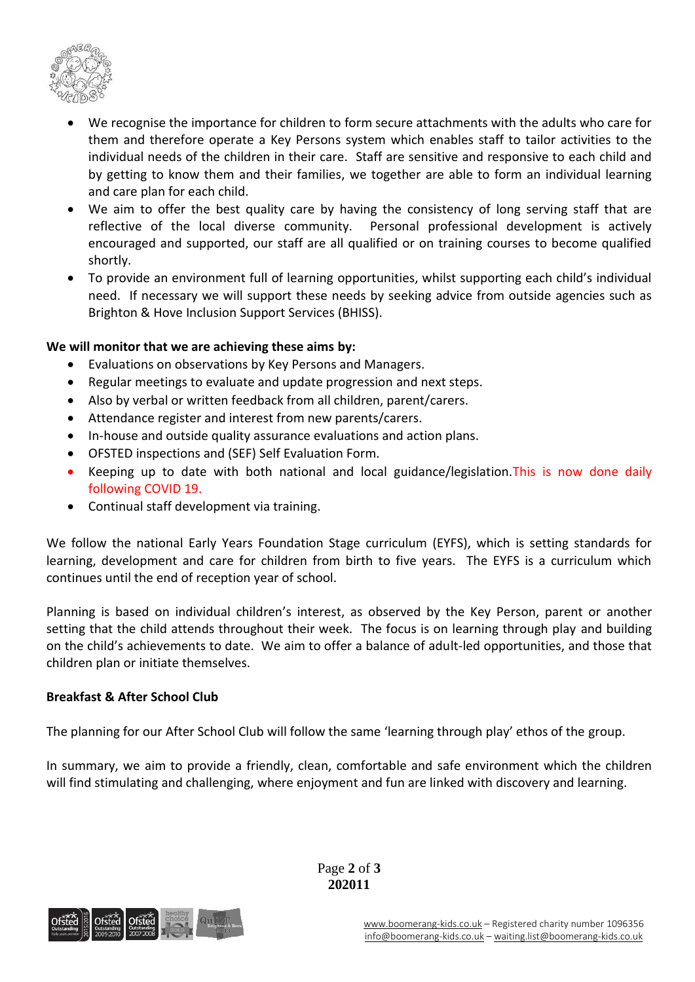

- We recognise the importance for children to form secure attachments with the adults who care for them and therefore operate a Key Persons system which enables staff to tailor activities to the individual needs of the children in their care. Staff are sensitive and responsive to each child and by getting to know them and their families, we together are able to form an individual learning and care plan for each child.
- We aim to offer the best quality care by having the consistency of long serving staff that are reflective of the local diverse community. Personal professional development is actively encouraged and supported, our staff are all qualified or on training courses to become qualified shortly.
- To provide an environment full of learning opportunities, whilst supporting each child's individual need. If necessary we will support these needs by seeking advice from outside agencies such as Brighton & Hove Inclusion Support Services (BHISS).

#### **We will monitor that we are achieving these aims by:**

- Evaluations on observations by Key Persons and Managers.
- Regular meetings to evaluate and update progression and next steps.
- Also by verbal or written feedback from all children, parent/carers.
- Attendance register and interest from new parents/carers.
- In-house and outside quality assurance evaluations and action plans.
- OFSTED inspections and (SEF) Self Evaluation Form.
- Keeping up to date with both national and local guidance/legislation.This is now done daily following COVID 19.
- Continual staff development via training.

We follow the national Early Years Foundation Stage curriculum (EYFS), which is setting standards for learning, development and care for children from birth to five years. The EYFS is a curriculum which continues until the end of reception year of school.

Planning is based on individual children's interest, as observed by the Key Person, parent or another setting that the child attends throughout their week. The focus is on learning through play and building on the child's achievements to date. We aim to offer a balance of adult-led opportunities, and those that children plan or initiate themselves.

#### **Breakfast & After School Club**

The planning for our After School Club will follow the same 'learning through play' ethos of the group.

In summary, we aim to provide a friendly, clean, comfortable and safe environment which the children will find stimulating and challenging, where enjoyment and fun are linked with discovery and learning.



Page **2** of **3 202011**